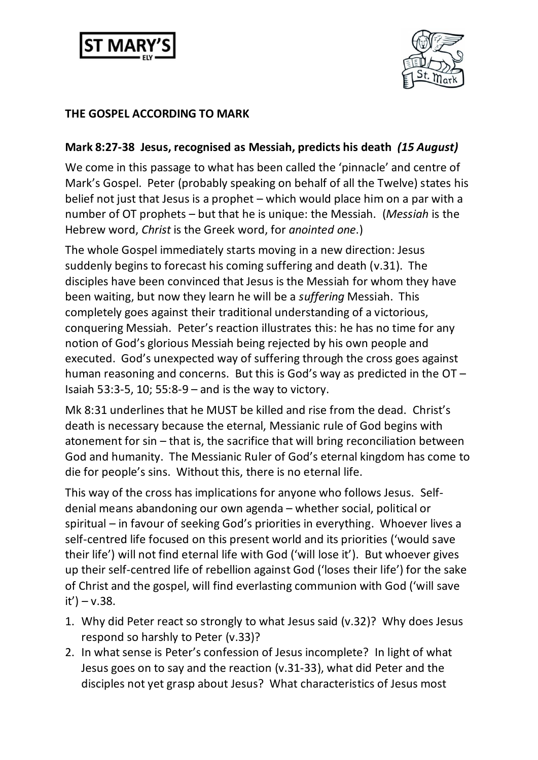



## **THE GOSPEL ACCORDING TO MARK**

## **Mark 8:27-38 Jesus, recognised as Messiah, predicts his death** *(15 August)*

We come in this passage to what has been called the 'pinnacle' and centre of Mark's Gospel. Peter (probably speaking on behalf of all the Twelve) states his belief not just that Jesus is a prophet – which would place him on a par with a number of OT prophets – but that he is unique: the Messiah. (*Messiah* is the Hebrew word, *Christ* is the Greek word, for *anointed one*.)

The whole Gospel immediately starts moving in a new direction: Jesus suddenly begins to forecast his coming suffering and death (v.31). The disciples have been convinced that Jesus is the Messiah for whom they have been waiting, but now they learn he will be a *suffering* Messiah. This completely goes against their traditional understanding of a victorious, conquering Messiah. Peter's reaction illustrates this: he has no time for any notion of God's glorious Messiah being rejected by his own people and executed. God's unexpected way of suffering through the cross goes against human reasoning and concerns. But this is God's way as predicted in the OT – Isaiah 53:3-5, 10; 55:8-9 – and is the way to victory.

Mk 8:31 underlines that he MUST be killed and rise from the dead. Christ's death is necessary because the eternal, Messianic rule of God begins with atonement for sin – that is, the sacrifice that will bring reconciliation between God and humanity. The Messianic Ruler of God's eternal kingdom has come to die for people's sins. Without this, there is no eternal life.

This way of the cross has implications for anyone who follows Jesus. Selfdenial means abandoning our own agenda – whether social, political or spiritual – in favour of seeking God's priorities in everything. Whoever lives a self-centred life focused on this present world and its priorities ('would save their life') will not find eternal life with God ('will lose it'). But whoever gives up their self-centred life of rebellion against God ('loses their life') for the sake of Christ and the gospel, will find everlasting communion with God ('will save it') – v.38.

- 1. Why did Peter react so strongly to what Jesus said (v.32)? Why does Jesus respond so harshly to Peter (v.33)?
- 2. In what sense is Peter's confession of Jesus incomplete? In light of what Jesus goes on to say and the reaction (v.31-33), what did Peter and the disciples not yet grasp about Jesus? What characteristics of Jesus most